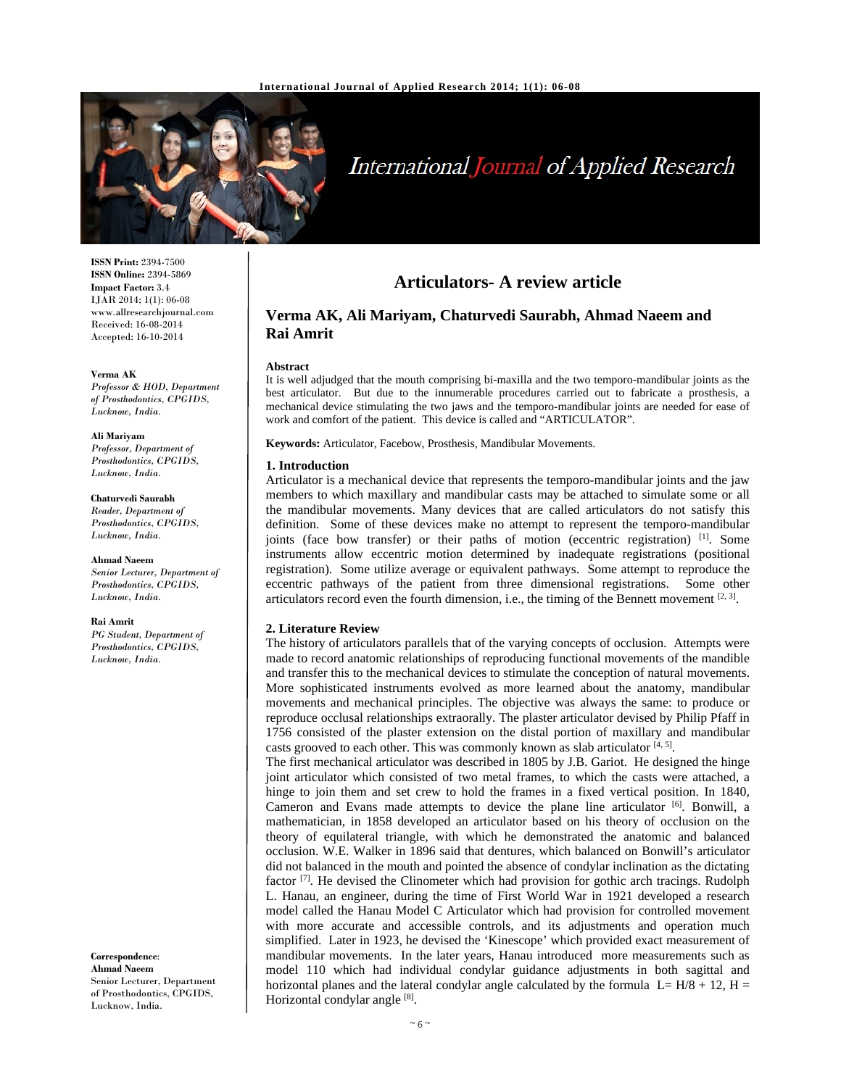

# **International Journal of Applied Research**

**ISSN Print:** 2394-7500 **ISSN Online:** 2394-5869 **Impact Factor:** 3.4 IJAR 2014; 1(1): 06-08 www.allresearchjournal.com Received: 16-08-2014 Accepted: 16-10-2014

**Verma AK**  *Professor & HOD, Department of Prosthodontics, CPGIDS, Lucknow, India.* 

**Ali Mariyam**  *Professor, Department of Prosthodontics, CPGIDS, Lucknow, India.* 

**Chaturvedi Saurabh**  *Reader, Department of Prosthodontics, CPGIDS, Lucknow, India.* 

**Ahmad Naeem**  *Senior Lecturer, Department of Prosthodontics, CPGIDS, Lucknow, India.* 

**Rai Amrit** 

*PG Student, Department of Prosthodontics, CPGIDS, Lucknow, India.* 

**Correspondence**: **Ahmad Naeem**  Senior Lecturer, Department of Prosthodontics, CPGIDS, Lucknow, India.

# **Articulators- A review article**

# **Verma AK, Ali Mariyam, Chaturvedi Saurabh, Ahmad Naeem and Rai Amrit**

#### **Abstract**

It is well adjudged that the mouth comprising bi-maxilla and the two temporo-mandibular joints as the best articulator. But due to the innumerable procedures carried out to fabricate a prosthesis, a mechanical device stimulating the two jaws and the temporo-mandibular joints are needed for ease of work and comfort of the patient. This device is called and "ARTICULATOR".

**Keywords:** Articulator, Facebow, Prosthesis, Mandibular Movements.

#### **1. Introduction**

Articulator is a mechanical device that represents the temporo-mandibular joints and the jaw members to which maxillary and mandibular casts may be attached to simulate some or all the mandibular movements. Many devices that are called articulators do not satisfy this definition. Some of these devices make no attempt to represent the temporo-mandibular joints (face bow transfer) or their paths of motion (eccentric registration)  $^{[1]}$ . Some instruments allow eccentric motion determined by inadequate registrations (positional registration). Some utilize average or equivalent pathways. Some attempt to reproduce the eccentric pathways of the patient from three dimensional registrations. Some other articulators record even the fourth dimension, i.e., the timing of the Bennett movement  $[2, 3]$ .

#### **2. Literature Review**

The history of articulators parallels that of the varying concepts of occlusion. Attempts were made to record anatomic relationships of reproducing functional movements of the mandible and transfer this to the mechanical devices to stimulate the conception of natural movements. More sophisticated instruments evolved as more learned about the anatomy, mandibular movements and mechanical principles. The objective was always the same: to produce or reproduce occlusal relationships extraorally. The plaster articulator devised by Philip Pfaff in 1756 consisted of the plaster extension on the distal portion of maxillary and mandibular casts grooved to each other. This was commonly known as slab articulator  $[4, 5]$ .

The first mechanical articulator was described in 1805 by J.B. Gariot. He designed the hinge joint articulator which consisted of two metal frames, to which the casts were attached, a hinge to join them and set crew to hold the frames in a fixed vertical position. In 1840, Cameron and Evans made attempts to device the plane line articulator [6]. Bonwill, a mathematician, in 1858 developed an articulator based on his theory of occlusion on the theory of equilateral triangle, with which he demonstrated the anatomic and balanced occlusion. W.E. Walker in 1896 said that dentures, which balanced on Bonwill's articulator did not balanced in the mouth and pointed the absence of condylar inclination as the dictating factor  $^{[7]}$ . He devised the Clinometer which had provision for gothic arch tracings. Rudolph L. Hanau, an engineer, during the time of First World War in 1921 developed a research model called the Hanau Model C Articulator which had provision for controlled movement with more accurate and accessible controls, and its adjustments and operation much simplified. Later in 1923, he devised the 'Kinescope' which provided exact measurement of mandibular movements. In the later years, Hanau introduced more measurements such as model 110 which had individual condylar guidance adjustments in both sagittal and horizontal planes and the lateral condylar angle calculated by the formula  $L= H/8 + 12$ ,  $H =$ Horizontal condylar angle [8].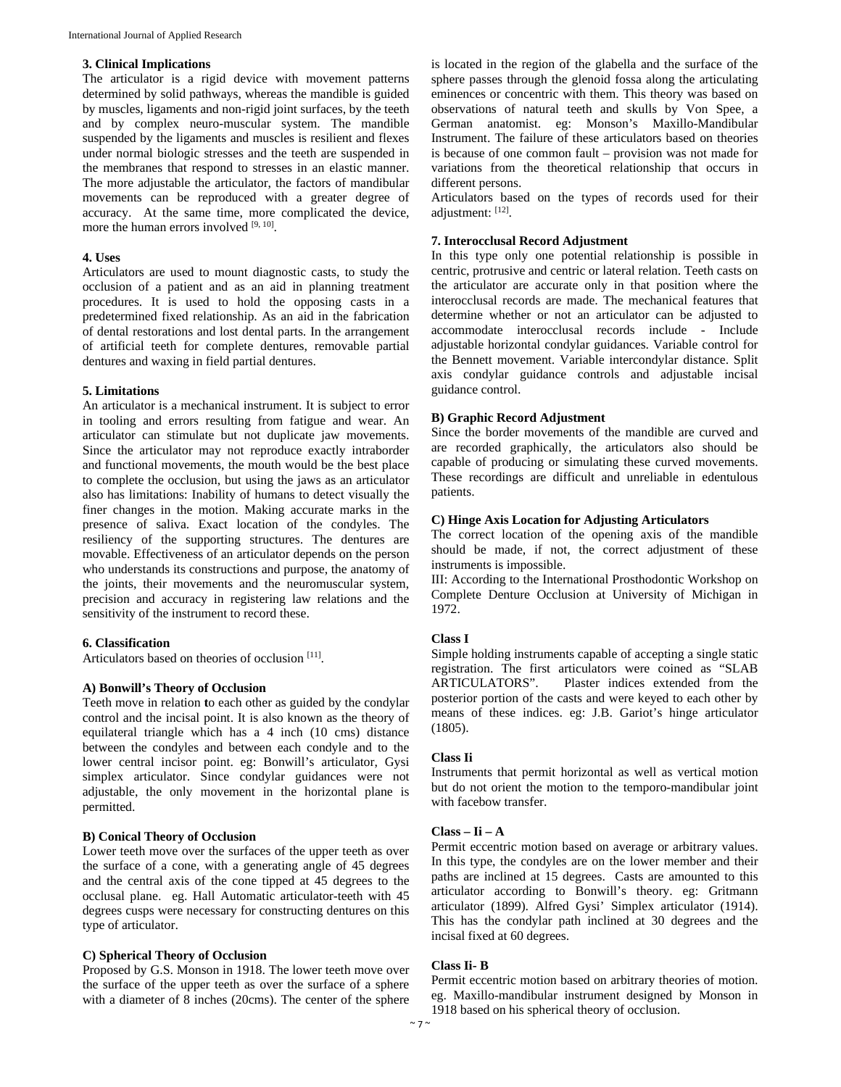#### **3. Clinical Implications**

The articulator is a rigid device with movement patterns determined by solid pathways, whereas the mandible is guided by muscles, ligaments and non-rigid joint surfaces, by the teeth and by complex neuro-muscular system. The mandible suspended by the ligaments and muscles is resilient and flexes under normal biologic stresses and the teeth are suspended in the membranes that respond to stresses in an elastic manner. The more adjustable the articulator, the factors of mandibular movements can be reproduced with a greater degree of accuracy. At the same time, more complicated the device, more the human errors involved [9, 10].

#### **4. Uses**

Articulators are used to mount diagnostic casts, to study the occlusion of a patient and as an aid in planning treatment procedures. It is used to hold the opposing casts in a predetermined fixed relationship. As an aid in the fabrication of dental restorations and lost dental parts. In the arrangement of artificial teeth for complete dentures, removable partial dentures and waxing in field partial dentures.

#### **5. Limitations**

An articulator is a mechanical instrument. It is subject to error in tooling and errors resulting from fatigue and wear. An articulator can stimulate but not duplicate jaw movements. Since the articulator may not reproduce exactly intraborder and functional movements, the mouth would be the best place to complete the occlusion, but using the jaws as an articulator also has limitations: Inability of humans to detect visually the finer changes in the motion. Making accurate marks in the presence of saliva. Exact location of the condyles. The resiliency of the supporting structures. The dentures are movable. Effectiveness of an articulator depends on the person who understands its constructions and purpose, the anatomy of the joints, their movements and the neuromuscular system, precision and accuracy in registering law relations and the sensitivity of the instrument to record these.

#### **6. Classification**

Articulators based on theories of occlusion [11].

# **A) Bonwill's Theory of Occlusion**

Teeth move in relation **t**o each other as guided by the condylar control and the incisal point. It is also known as the theory of equilateral triangle which has a 4 inch (10 cms) distance between the condyles and between each condyle and to the lower central incisor point. eg: Bonwill's articulator, Gysi simplex articulator. Since condylar guidances were not adjustable, the only movement in the horizontal plane is permitted.

#### **B) Conical Theory of Occlusion**

Lower teeth move over the surfaces of the upper teeth as over the surface of a cone, with a generating angle of 45 degrees and the central axis of the cone tipped at 45 degrees to the occlusal plane. eg. Hall Automatic articulator-teeth with 45 degrees cusps were necessary for constructing dentures on this type of articulator.

#### **C) Spherical Theory of Occlusion**

Proposed by G.S. Monson in 1918. The lower teeth move over the surface of the upper teeth as over the surface of a sphere with a diameter of 8 inches (20cms). The center of the sphere

is located in the region of the glabella and the surface of the sphere passes through the glenoid fossa along the articulating eminences or concentric with them. This theory was based on observations of natural teeth and skulls by Von Spee, a German anatomist. eg: Monson's Maxillo-Mandibular Instrument. The failure of these articulators based on theories is because of one common fault – provision was not made for variations from the theoretical relationship that occurs in different persons.

Articulators based on the types of records used for their adjustment: [12].

#### **7. Interocclusal Record Adjustment**

In this type only one potential relationship is possible in centric, protrusive and centric or lateral relation. Teeth casts on the articulator are accurate only in that position where the interocclusal records are made. The mechanical features that determine whether or not an articulator can be adjusted to accommodate interocclusal records include - Include adjustable horizontal condylar guidances. Variable control for the Bennett movement. Variable intercondylar distance. Split axis condylar guidance controls and adjustable incisal guidance control.

#### **B) Graphic Record Adjustment**

Since the border movements of the mandible are curved and are recorded graphically, the articulators also should be capable of producing or simulating these curved movements. These recordings are difficult and unreliable in edentulous patients.

#### **C) Hinge Axis Location for Adjusting Articulators**

The correct location of the opening axis of the mandible should be made, if not, the correct adjustment of these instruments is impossible.

III: According to the International Prosthodontic Workshop on Complete Denture Occlusion at University of Michigan in 1972.

# **Class I**

Simple holding instruments capable of accepting a single static registration. The first articulators were coined as "SLAB ARTICULATORS". Plaster indices extended from the posterior portion of the casts and were keyed to each other by means of these indices. eg: J.B. Gariot's hinge articulator (1805).

#### **Class Ii**

Instruments that permit horizontal as well as vertical motion but do not orient the motion to the temporo-mandibular joint with facebow transfer.

#### **Class – Ii – A**

Permit eccentric motion based on average or arbitrary values. In this type, the condyles are on the lower member and their paths are inclined at 15 degrees. Casts are amounted to this articulator according to Bonwill's theory. eg: Gritmann articulator (1899). Alfred Gysi' Simplex articulator (1914). This has the condylar path inclined at 30 degrees and the incisal fixed at 60 degrees.

#### **Class Ii- B**

Permit eccentric motion based on arbitrary theories of motion. eg. Maxillo-mandibular instrument designed by Monson in 1918 based on his spherical theory of occlusion.